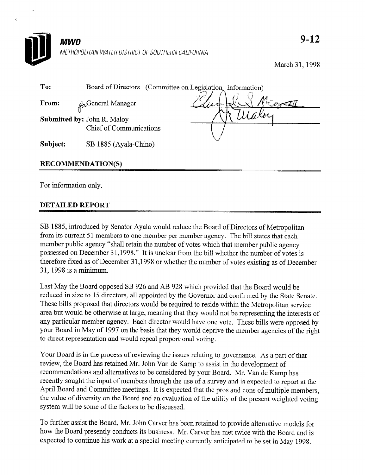

March 31, 1998

| To:                      | Board of Directors (Committee on Legislation-Information)     |  |
|--------------------------|---------------------------------------------------------------|--|
| From:                    | <b>L</b> General Manager                                      |  |
|                          | <b>Submitted by: John R. Maloy</b><br>Chief of Communications |  |
| Subject:                 | SB 1885 (Ayala-Chino)                                         |  |
| <b>RECOMMENDATION(S)</b> |                                                               |  |

For information only.

## DETAILED REPORT

SB 1885, introduced by Senator Ayala would reduce the Board of Directors of Metropolitan from its current 51 members to one member per member agency. The bill states that each member public agency "shall retain the number of votes which that member public agency possessed on December 31,1998." It is unclear from the bill whether the number of votes is therefore fixed as of December 31,1998 or whether the number of votes existing as of December 3 1,1998 is a minimum.

Last May the Board opposed SB 926 and AB 928 which provided that the Board would be reduced in size to 15 directors, all appointed by the Governor and confirmed by the State Senate. These bills proposed that directors would be required to reside within the Metropolitan service area but would be otherwise at large, meaning that they would not be representing the interests of any particular member agency. Each director would have one vote. These bills were opposed by your Board in May of 1997 on the basis that they would deprive the member agencies of the right to direct representation and would repeal proportional voting.

Your Board is in the process of reviewing the issues relating to governance. As a part of that review, the Board has retained Mr. John Van de Kamp to assist in the development of recommendations and alternatives to be considered by your Board. Mr. Van de Kamp has recently sought the input of members through the use of a survey and is expected to report at the April Board and Committee meetings. It is expected that the pros and cons of multiple members, the value of diversity on the Board and an evaluation of the utility of the present weighted voting system will be some of the factors to be discussed.

To further assist the Board, Mr. John Carver has been retained to provide alternative models for how the Board presently conducts its business. Mr. Carver has met twice with the Board and is expected to continue his work at a special meeting currently anticipated to be set in May 1998.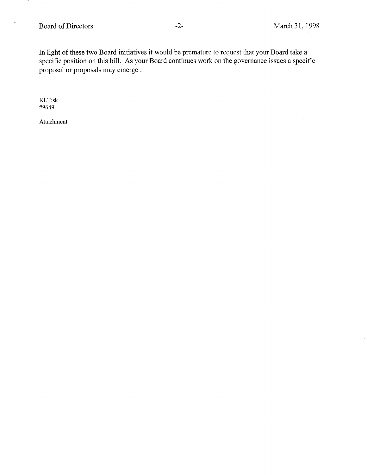# Board of Directors -2- March 31, 1998

 $\bar{\omega}$ 

 $\mathcal{A}^{\mathcal{A}}$ 

 $\alpha$ 

In light of these two Board initiatives it would be premature to request that your Board take a specific position on this bill. As your Board continues work on the governance issues a specific proposal or proposals may emerge .

KLT:sk #9649

ممه l,

 $\hat{\mathbf{z}}_i$ 

Attachment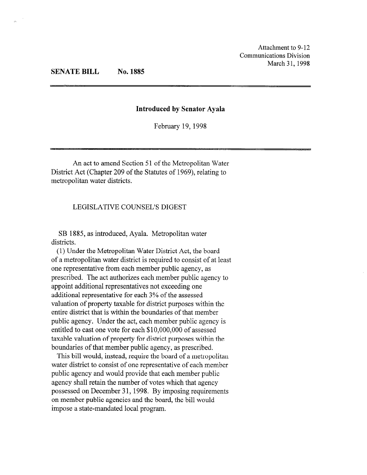## SENATE BILL No. 1885

#### Introduced by Senator Ayala

February 19,1998

An act to amend Section 51 of the Metropolitan Water District Act (Chapter 209 of the Statutes of 1969), relating to metropolitan water districts.

#### LEGISLATIVE COUNSEL'S DIGEST

SB 1885, as introduced, Ayala. Metropolitan water districts.

(1) Under the Metropolitan Water District Act, the board of a metropolitan water district is required to consist of at least one representative from each member public agency, as prescribed. The act authorizes each member public agency to appoint additional representatives not exceeding one additional representative for each 3% of the assessed valuation of property taxable for district purposes within the entire district that is within the boundaries of that member public agency. Under the act, each member public agency is entitled to cast one vote for each \$10,000,000 of assessed taxable valuation of property for district purposes within the boundaries of that member public agency, as prescribed.

This bill would, instead, require the board of a metropolitan water district to consist of one representative of each member public agency and would provide that each member public agency shall retain the number of votes which that agency possessed on December 31, 1998. By imposing requirements on member public agencies and the board, the bill would impose a state-mandated local program.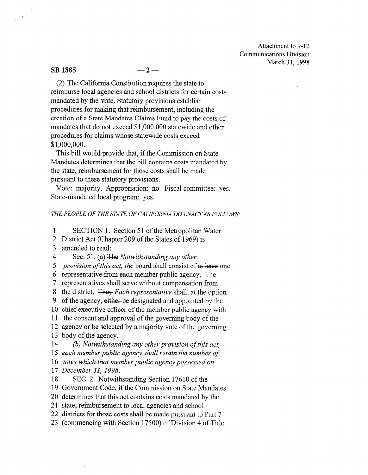Attachment to 9- 12 Communications Division March 31, 1998

#### $\overline{\text{SB}}$  1885  $-2-$

(2) The California Constitution requires the state to reimburse local agencies and school districts for certain costs mandated by the state. Statutory provisions establish procedures for making that reimbursement, including the creation of a State Mandates Claims Fund to pay the costs of mandates that do not exceed \$l,OOO,OOO statewide and other procedures for claims whose statewide costs exceed \$1 ,ooo,ooo.

This bill would provide that, if the Commission on State Mandates determines that the bill contains costs mandated by the state, reimbursement for those costs shall be made pursuant to these statutory provisions.

Vote: majority. Appropriation: no. Fiscal committee: yes. State-mandated local program: yes.

#### THE PEOPLE OF THE STATE OF CALIFORNIA DO ENACT AS FOLLOWS:

1 SECTION 1. Section 51 of the Metropolitan Water

2 District Act (Chapter 209 of the States of 1969) is

3 amended to read:

4 Sec. 51. (a) The Notwithstanding any other

5 provision of this act, the board shall consist of at least one

6 representative from each member public agency. The

7 representatives shall serve without compensation from

8 the district. They Each representative shall, at the option

9 of the agency, either-be designated and appointed by the

10 chief executive officer of the member public agency with

11 the consent and approval of the governing body of the

12 agency or be selected by a majority vote of the governing 13 body of the agency.

14 (b) Notwithstanding any other provision of this act,

15 each member public agency shall retain the number of

16 votes which that member public agency possessed on

17 December 31, 1998.

18 SEC. 2. Notwithstanding Section 17610 of the

19 Government Code, if the Commission on State Mandates

20 determines that this act contains costs mandated by the

21 state, reimbursement to local agencies and school

22 districts for those costs shall be made pursuant to Part 7

23 (commencing with Section 17500) of Division 4 of Title